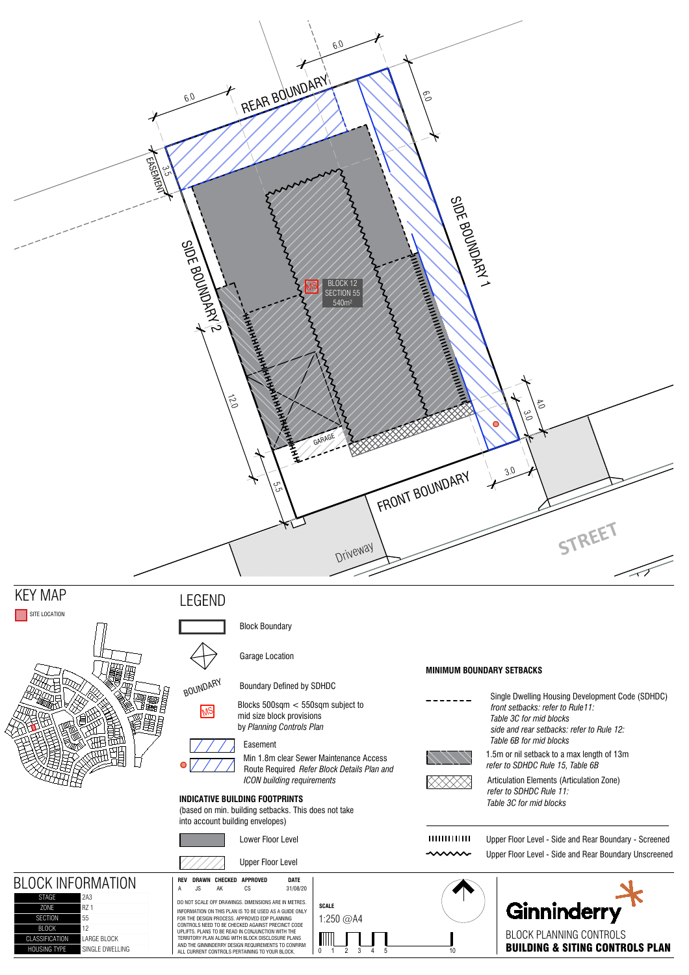